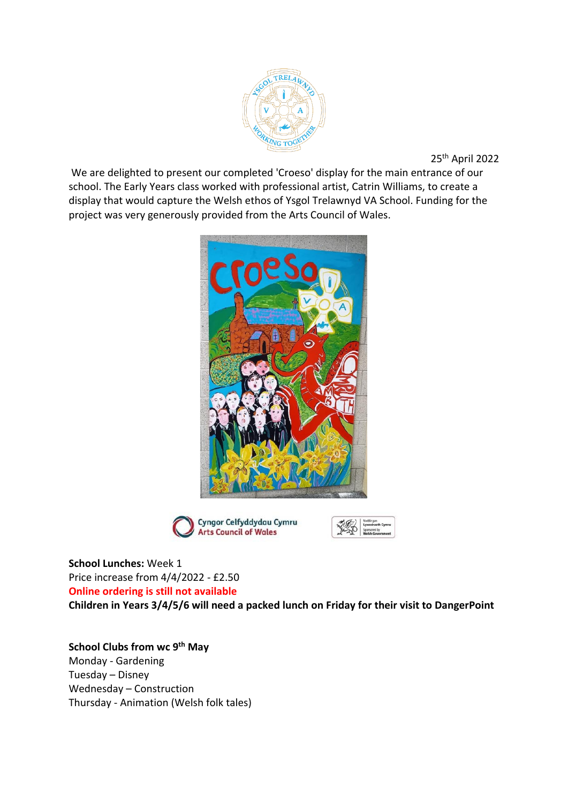

25th April 2022

We are delighted to present our completed 'Croeso' display for the main entrance of our school. The Early Years class worked with professional artist, Catrin Williams, to create a display that would capture the Welsh ethos of Ysgol Trelawnyd VA School. Funding for the project was very generously provided from the Arts Council of Wales.





**School Lunches:** Week 1 Price increase from 4/4/2022 - £2.50 **Online ordering is still not available**

**Children in Years 3/4/5/6 will need a packed lunch on Friday for their visit to DangerPoint**

**School Clubs from wc 9th May** Monday - Gardening Tuesday – Disney Wednesday – Construction Thursday - Animation (Welsh folk tales)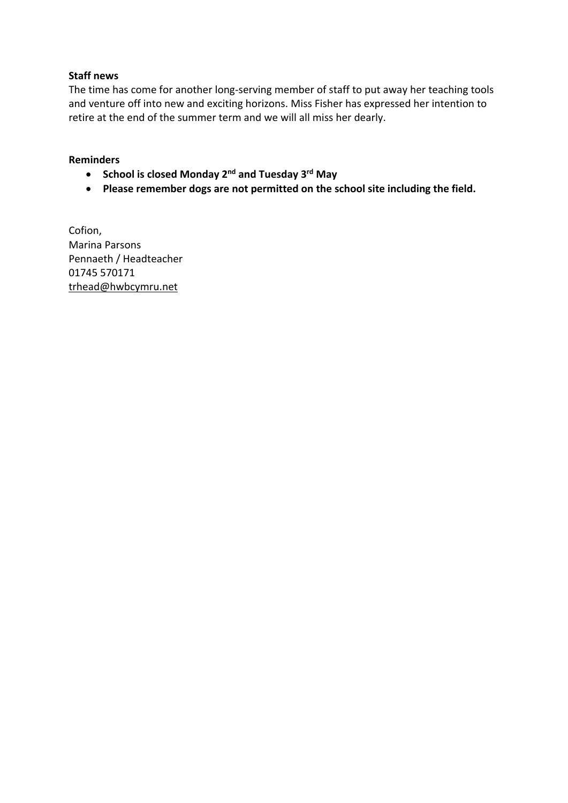## **Staff news**

The time has come for another long-serving member of staff to put away her teaching tools and venture off into new and exciting horizons. Miss Fisher has expressed her intention to retire at the end of the summer term and we will all miss her dearly.

## **Reminders**

- **School is closed Monday 2nd and Tuesday 3rd May**
- **Please remember dogs are not permitted on the school site including the field.**

Cofion, Marina Parsons Pennaeth / Headteacher 01745 570171 [trhead@hwbcymru.net](mailto:trhead@hwbcymru.net)